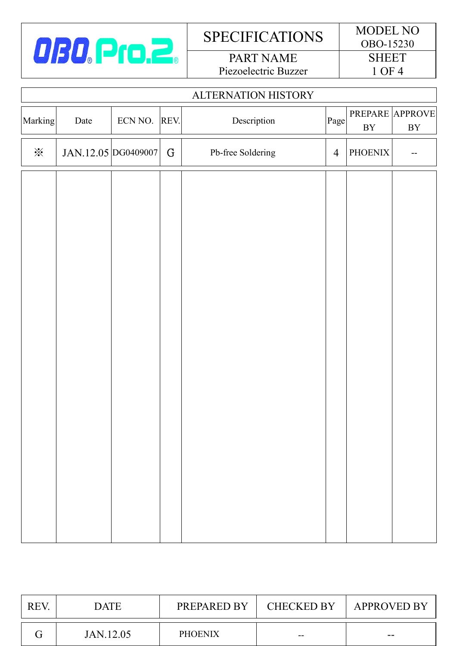

# SPECIFICATIONS MODEL NO

PART NAME Piezoelectric Buzzer

| <b>ALTERNATION HISTORY</b> |                     |              |   |                   |                |                               |          |
|----------------------------|---------------------|--------------|---|-------------------|----------------|-------------------------------|----------|
| Marking                    | Date                | ECN NO. REV. |   | Description       | Page           | PREPARE APPROVE<br>${\rm BY}$ | $\rm BY$ |
| $\mathbb{X}$               | JAN.12.05 DG0409007 |              | G | Pb-free Soldering | $\overline{4}$ | <b>PHOENIX</b>                |          |
|                            |                     |              |   |                   |                |                               |          |
|                            |                     |              |   |                   |                |                               |          |
|                            |                     |              |   |                   |                |                               |          |
|                            |                     |              |   |                   |                |                               |          |
|                            |                     |              |   |                   |                |                               |          |
|                            |                     |              |   |                   |                |                               |          |
|                            |                     |              |   |                   |                |                               |          |
|                            |                     |              |   |                   |                |                               |          |
|                            |                     |              |   |                   |                |                               |          |
|                            |                     |              |   |                   |                |                               |          |
|                            |                     |              |   |                   |                |                               |          |
|                            |                     |              |   |                   |                |                               |          |

| <b>REV</b> | <b>DATE</b> | PREPARED BY    | CHECKED BY | <b>APPROVED BY</b> |
|------------|-------------|----------------|------------|--------------------|
|            | JAN.12.05   | <b>PHOENIX</b> | $- -$      | --                 |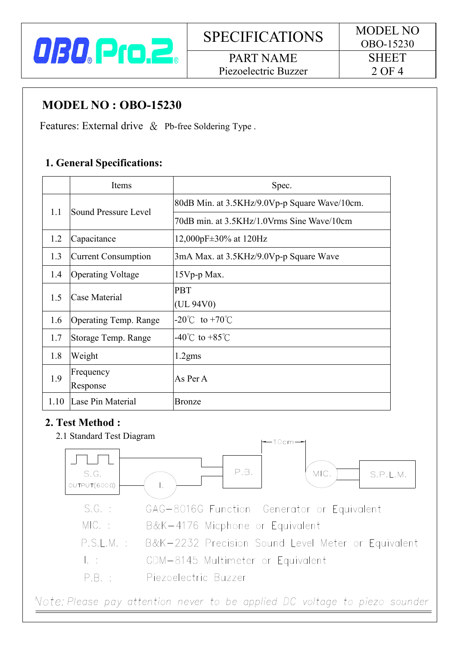

I

PART NAME Piezoelectric Buzzer

## **MODEL NO : OBO-15230**

Features: External drive & Pb-free Soldering Type.

#### **1. General Specifications:**

|      | Items                        | Spec.                                         |  |
|------|------------------------------|-----------------------------------------------|--|
| 1.1  | Sound Pressure Level         | 80dB Min. at 3.5KHz/9.0Vp-p Square Wave/10cm. |  |
|      |                              | 70dB min. at 3.5KHz/1.0Vrms Sine Wave/10cm    |  |
| 1.2  | Capacitance                  | 12,000pF $\pm$ 30% at 120Hz                   |  |
| 1.3  | Current Consumption          | 3mA Max. at 3.5KHz/9.0Vp-p Square Wave        |  |
| 1.4  | <b>Operating Voltage</b>     | $15Vp-p$ Max.                                 |  |
| 1.5  | Case Material                | <b>PBT</b>                                    |  |
|      |                              | (UL 94V0)                                     |  |
| 1.6  | <b>Operating Temp. Range</b> | $-20^{\circ}$ C to $+70^{\circ}$ C            |  |
| 1.7  | Storage Temp. Range          | $-40^{\circ}$ C to $+85^{\circ}$ C            |  |
| 1.8  | Weight                       | $1.2$ gms                                     |  |
| 1.9  | Frequency                    | As Per A                                      |  |
|      | Response                     |                                               |  |
| 1.10 | Lase Pin Material            | <b>Bronze</b>                                 |  |

#### **2. Test Method :**

 2.1 Standard Test Diagram  $10cm$  $\mathbb{R}^n$  $P.B.$ MIC. S.G. S.P.L.M.  $OUTPUT(600 $\Omega$ )$  $\mathbb{L}$  $S.G. :$ GAG-8016G Function Generator or Equivalent  $MIC. :$ B&K-4176 Micphone or Equivalent  $P.S.I.M.$ : B&K-2232 Precision Sound Level Meter or Equivalent  $L \pm 1$ GDM-8145 Multimeter or Equivalent  $PR \cdot$ Piezoelectric Buzzer Note: Please pay attention never to be applied DC voltage to piezo sounder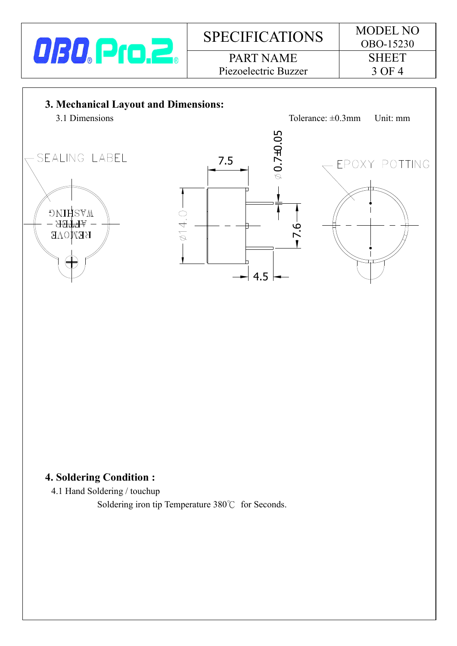

# SPECIFICATIONS MODEL NO PART NAME Piezoelectric Buzzer

7.5

 $-0.40 -$ 



SEALING LABEL

**DNIHSVM** - <del>अन्नक</del>्तर-**REMOAE** 



#### **4. Soldering Condition :**

4.1 Hand Soldering / touchup

Soldering iron tip Temperature 380℃ for Seconds.